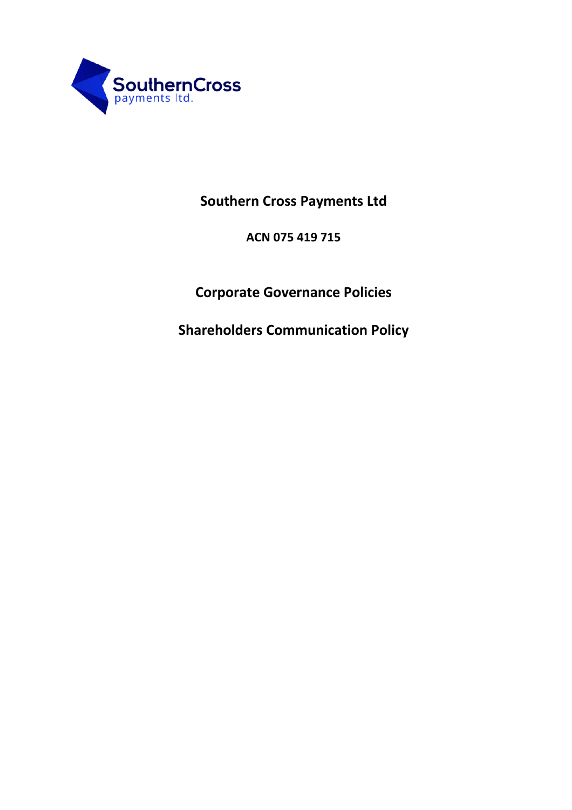

# **Southern Cross Payments Ltd**

**ACN 075 419 715**

# **Corporate Governance Policies**

**Shareholders Communication Policy**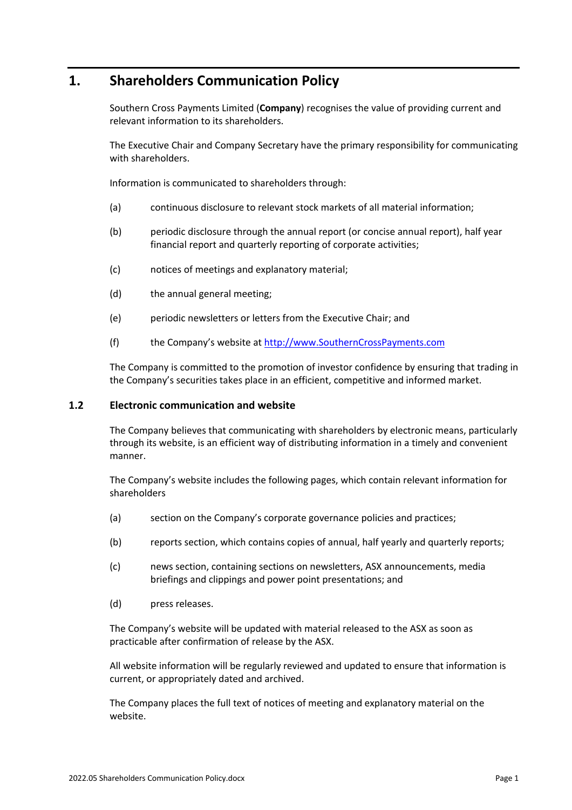# **1. Shareholders Communication Policy**

Southern Cross Payments Limited (**Company**) recognises the value of providing current and relevant information to its shareholders.

The Executive Chair and Company Secretary have the primary responsibility for communicating with shareholders.

Information is communicated to shareholders through:

- (a) continuous disclosure to relevant stock markets of all material information;
- (b) periodic disclosure through the annual report (or concise annual report), half year financial report and quarterly reporting of corporate activities;
- (c) notices of meetings and explanatory material;
- (d) the annual general meeting;
- (e) periodic newsletters or letters from the Executive Chair; and
- (f) the Company's website at http://www.SouthernCrossPayments.com

The Company is committed to the promotion of investor confidence by ensuring that trading in the Company's securities takes place in an efficient, competitive and informed market.

#### **1.2 Electronic communication and website**

The Company believes that communicating with shareholders by electronic means, particularly through its website, is an efficient way of distributing information in a timely and convenient manner.

The Company's website includes the following pages, which contain relevant information for shareholders

- (a) section on the Company's corporate governance policies and practices;
- (b) reports section, which contains copies of annual, half yearly and quarterly reports;
- (c) news section, containing sections on newsletters, ASX announcements, media briefings and clippings and power point presentations; and
- (d) press releases.

The Company's website will be updated with material released to the ASX as soon as practicable after confirmation of release by the ASX.

All website information will be regularly reviewed and updated to ensure that information is current, or appropriately dated and archived.

The Company places the full text of notices of meeting and explanatory material on the website.